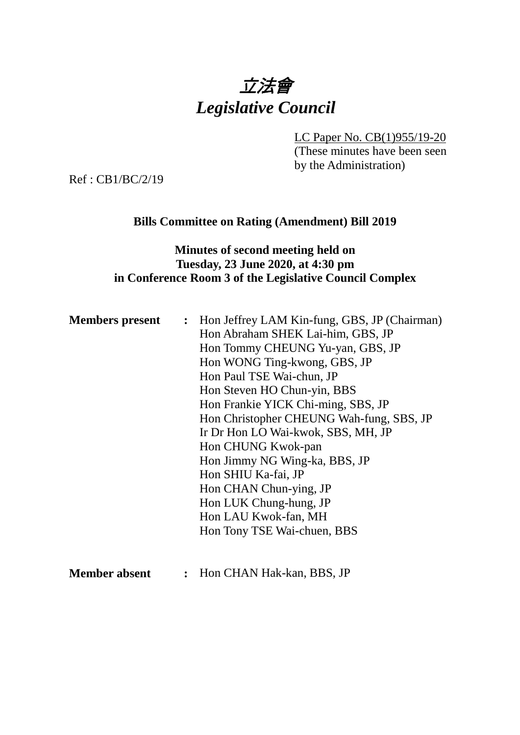# 立法會 *Legislative Council*

LC Paper No. CB(1)955/19-20

(These minutes have been seen by the Administration)

Ref : CB1/BC/2/19

### **Bills Committee on Rating (Amendment) Bill 2019**

#### **Minutes of second meeting held on Tuesday, 23 June 2020, at 4:30 pm in Conference Room 3 of the Legislative Council Complex**

| <b>Members present</b> | : Hon Jeffrey LAM Kin-fung, GBS, JP (Chairman) |
|------------------------|------------------------------------------------|
|                        | Hon Abraham SHEK Lai-him, GBS, JP              |
|                        | Hon Tommy CHEUNG Yu-yan, GBS, JP               |
|                        | Hon WONG Ting-kwong, GBS, JP                   |
|                        | Hon Paul TSE Wai-chun, JP                      |
|                        | Hon Steven HO Chun-yin, BBS                    |
|                        | Hon Frankie YICK Chi-ming, SBS, JP             |
|                        | Hon Christopher CHEUNG Wah-fung, SBS, JP       |
|                        | Ir Dr Hon LO Wai-kwok, SBS, MH, JP             |
|                        | Hon CHUNG Kwok-pan                             |
|                        | Hon Jimmy NG Wing-ka, BBS, JP                  |
|                        | Hon SHIU Ka-fai, JP                            |
|                        | Hon CHAN Chun-ying, JP                         |
|                        | Hon LUK Chung-hung, JP                         |
|                        | Hon LAU Kwok-fan, MH                           |
|                        | Hon Tony TSE Wai-chuen, BBS                    |
|                        |                                                |
|                        |                                                |

**Member absent :** Hon CHAN Hak-kan, BBS, JP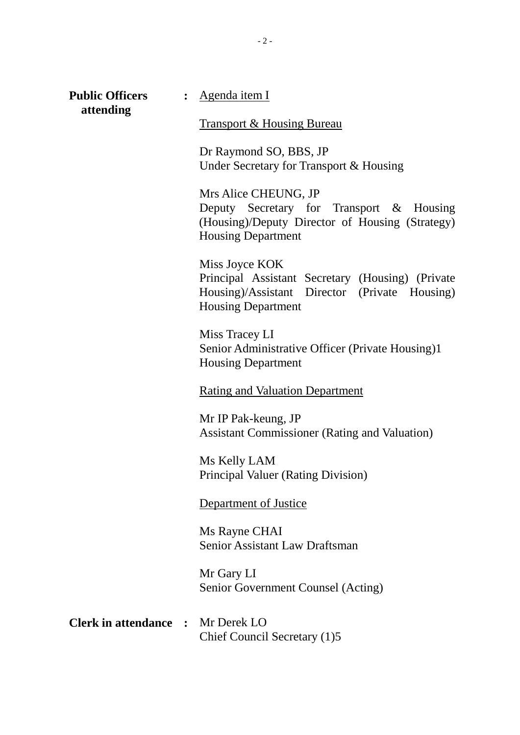| <b>Public Officers</b><br>attending      | : Agenda item I                                                                                                                                  |
|------------------------------------------|--------------------------------------------------------------------------------------------------------------------------------------------------|
|                                          | <b>Transport &amp; Housing Bureau</b>                                                                                                            |
|                                          | Dr Raymond SO, BBS, JP<br>Under Secretary for Transport & Housing                                                                                |
|                                          | Mrs Alice CHEUNG, JP<br>Deputy Secretary for Transport & Housing<br>(Housing)/Deputy Director of Housing (Strategy)<br><b>Housing Department</b> |
|                                          | Miss Joyce KOK<br>Principal Assistant Secretary (Housing) (Private<br>Housing)/Assistant Director (Private Housing)<br><b>Housing Department</b> |
|                                          | Miss Tracey LI<br>Senior Administrative Officer (Private Housing)1<br><b>Housing Department</b>                                                  |
|                                          | <b>Rating and Valuation Department</b>                                                                                                           |
|                                          | Mr IP Pak-keung, JP<br><b>Assistant Commissioner (Rating and Valuation)</b>                                                                      |
|                                          | Ms Kelly LAM<br><b>Principal Valuer (Rating Division)</b>                                                                                        |
|                                          | Department of Justice                                                                                                                            |
|                                          | Ms Rayne CHAI<br><b>Senior Assistant Law Draftsman</b>                                                                                           |
|                                          | Mr Gary LI<br>Senior Government Counsel (Acting)                                                                                                 |
| <b>Clerk in attendance :</b> Mr Derek LO | Chief Council Secretary (1)5                                                                                                                     |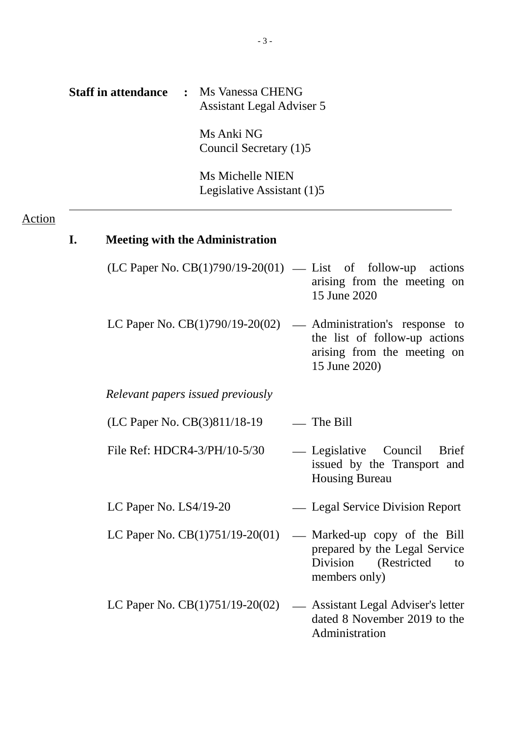|               |    | <b>Staff in attendance</b><br>$\ddot{\cdot}$ | Ms Vanessa CHENG<br><b>Assistant Legal Adviser 5</b> |                                                                                                                                                                                                                                                                                                                                                                                       |
|---------------|----|----------------------------------------------|------------------------------------------------------|---------------------------------------------------------------------------------------------------------------------------------------------------------------------------------------------------------------------------------------------------------------------------------------------------------------------------------------------------------------------------------------|
|               |    |                                              | Ms Anki NG<br>Council Secretary (1)5                 |                                                                                                                                                                                                                                                                                                                                                                                       |
|               |    |                                              | Ms Michelle NIEN<br>Legislative Assistant (1)5       |                                                                                                                                                                                                                                                                                                                                                                                       |
| <u>Action</u> | I. |                                              | <b>Meeting with the Administration</b>               |                                                                                                                                                                                                                                                                                                                                                                                       |
|               |    |                                              |                                                      | $(LC$ Paper No. $CB(1)790/19-20(01)$ — List of follow-up actions<br>arising from the meeting on<br>15 June 2020                                                                                                                                                                                                                                                                       |
|               |    |                                              |                                                      | LC Paper No. $CB(1)790/19-20(02)$ — Administration's response to<br>the list of follow-up actions<br>arising from the meeting on<br>15 June 2020)                                                                                                                                                                                                                                     |
|               |    |                                              | Relevant papers issued previously                    |                                                                                                                                                                                                                                                                                                                                                                                       |
|               |    |                                              | (LC Paper No. CB(3)811/18-19                         | — The Bill                                                                                                                                                                                                                                                                                                                                                                            |
|               |    | File Ref: HDCR4-3/PH/10-5/30                 |                                                      | — Legislative<br>Council<br><b>Brief</b><br>issued by the Transport and<br><b>Housing Bureau</b>                                                                                                                                                                                                                                                                                      |
|               |    | LC Paper No. $LS4/19-20$                     |                                                      | — Legal Service Division Report                                                                                                                                                                                                                                                                                                                                                       |
|               |    |                                              |                                                      | LC Paper No. $CB(1)751/19-20(01)$ — Marked-up copy of the Bill<br>$\frac{1}{2}$ $\frac{1}{2}$ $\frac{1}{2}$ $\frac{1}{2}$ $\frac{1}{2}$ $\frac{1}{2}$ $\frac{1}{2}$ $\frac{1}{2}$ $\frac{1}{2}$ $\frac{1}{2}$ $\frac{1}{2}$ $\frac{1}{2}$ $\frac{1}{2}$ $\frac{1}{2}$ $\frac{1}{2}$ $\frac{1}{2}$ $\frac{1}{2}$ $\frac{1}{2}$ $\frac{1}{2}$ $\frac{1}{2}$ $\frac{1}{2}$ $\frac{1}{2}$ |

- prepared by the Legal Service Division (Restricted to members only)
- LC Paper No. CB(1)751/19-20(02) Assistant Legal Adviser's letter dated 8 November 2019 to the Administration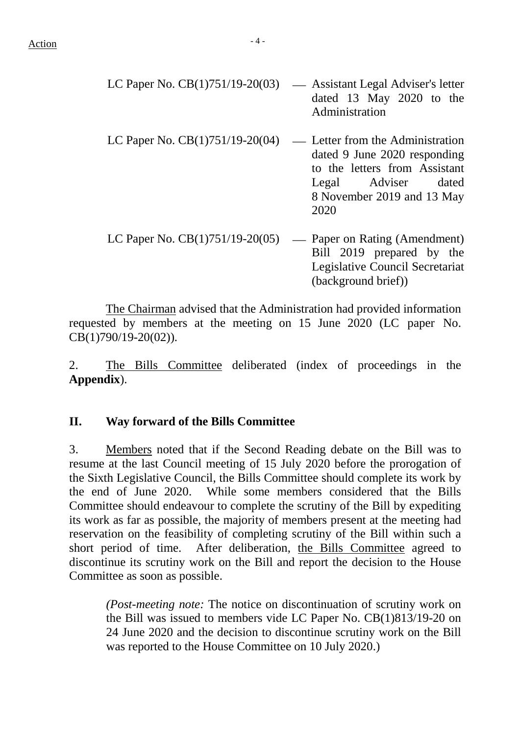| LC Paper No. $CB(1)751/19-20(03)$ | — Assistant Legal Adviser's letter<br>dated 13 May 2020 to the<br>Administration                                                                               |
|-----------------------------------|----------------------------------------------------------------------------------------------------------------------------------------------------------------|
| LC Paper No. $CB(1)751/19-20(04)$ | — Letter from the Administration<br>dated 9 June 2020 responding<br>to the letters from Assistant<br>Legal Adviser dated<br>8 November 2019 and 13 May<br>2020 |
| LC Paper No. $CB(1)751/19-20(05)$ | Paper on Rating (Amendment)<br>$\overline{\phantom{0}}$<br>Bill 2019 prepared by the<br>Legislative Council Secretariat<br>(background brief))                 |

The Chairman advised that the Administration had provided information requested by members at the meeting on 15 June 2020 (LC paper No. CB(1)790/19-20(02)).

2. The Bills Committee deliberated (index of proceedings in the **Appendix**).

### **II. Way forward of the Bills Committee**

3. Members noted that if the Second Reading debate on the Bill was to resume at the last Council meeting of 15 July 2020 before the prorogation of the Sixth Legislative Council, the Bills Committee should complete its work by the end of June 2020. While some members considered that the Bills Committee should endeavour to complete the scrutiny of the Bill by expediting its work as far as possible, the majority of members present at the meeting had reservation on the feasibility of completing scrutiny of the Bill within such a short period of time. After deliberation, the Bills Committee agreed to discontinue its scrutiny work on the Bill and report the decision to the House Committee as soon as possible.

*(Post-meeting note:* The notice on discontinuation of scrutiny work on the Bill was issued to members vide LC Paper No. CB(1)813/19-20 on 24 June 2020 and the decision to discontinue scrutiny work on the Bill was reported to the House Committee on 10 July 2020.)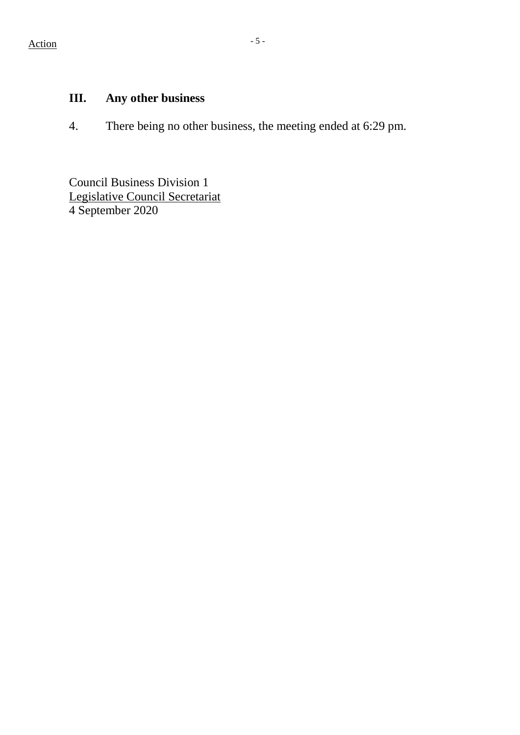## **III. Any other business**

4. There being no other business, the meeting ended at 6:29 pm.

Council Business Division 1 Legislative Council Secretariat 4 September 2020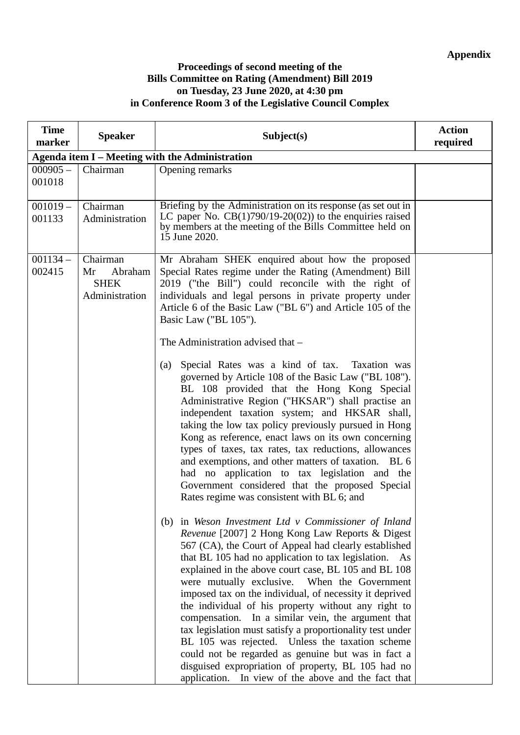#### **Proceedings of second meeting of the Bills Committee on Rating (Amendment) Bill 2019 on Tuesday, 23 June 2020, at 4:30 pm in Conference Room 3 of the Legislative Council Complex**

| <b>Time</b><br>marker | <b>Speaker</b>                                             | Subject(s)                                                                                                                                                                                                                                                                                                                                                                                                                                                                                                                                                                                                                                                                                                                                                                                        | <b>Action</b><br>required |
|-----------------------|------------------------------------------------------------|---------------------------------------------------------------------------------------------------------------------------------------------------------------------------------------------------------------------------------------------------------------------------------------------------------------------------------------------------------------------------------------------------------------------------------------------------------------------------------------------------------------------------------------------------------------------------------------------------------------------------------------------------------------------------------------------------------------------------------------------------------------------------------------------------|---------------------------|
|                       |                                                            | Agenda item I - Meeting with the Administration                                                                                                                                                                                                                                                                                                                                                                                                                                                                                                                                                                                                                                                                                                                                                   |                           |
| $000905 -$<br>001018  | Chairman                                                   | Opening remarks                                                                                                                                                                                                                                                                                                                                                                                                                                                                                                                                                                                                                                                                                                                                                                                   |                           |
| $001019 -$<br>001133  | Chairman<br>Administration                                 | Briefing by the Administration on its response (as set out in<br>LC paper No. $CB(1)790/19-20(02)$ to the enquiries raised<br>by members at the meeting of the Bills Committee held on<br>15 June 2020.                                                                                                                                                                                                                                                                                                                                                                                                                                                                                                                                                                                           |                           |
| $001134 -$<br>002415  | Chairman<br>Mr<br>Abraham<br><b>SHEK</b><br>Administration | Mr Abraham SHEK enquired about how the proposed<br>Special Rates regime under the Rating (Amendment) Bill<br>2019 ("the Bill") could reconcile with the right of<br>individuals and legal persons in private property under<br>Article 6 of the Basic Law ("BL 6") and Article 105 of the<br>Basic Law ("BL 105").<br>The Administration advised that -                                                                                                                                                                                                                                                                                                                                                                                                                                           |                           |
|                       |                                                            | Special Rates was a kind of tax. Taxation was<br>(a)<br>governed by Article 108 of the Basic Law ("BL 108").<br>BL 108 provided that the Hong Kong Special<br>Administrative Region ("HKSAR") shall practise an<br>independent taxation system; and HKSAR shall,<br>taking the low tax policy previously pursued in Hong<br>Kong as reference, enact laws on its own concerning<br>types of taxes, tax rates, tax reductions, allowances<br>and exemptions, and other matters of taxation. BL 6<br>had no application to tax legislation and the<br>Government considered that the proposed Special<br>Rates regime was consistent with BL 6; and                                                                                                                                                 |                           |
|                       |                                                            | (b) in Weson Investment Ltd $v$ Commissioner of Inland<br>Revenue [2007] 2 Hong Kong Law Reports & Digest<br>567 (CA), the Court of Appeal had clearly established<br>that BL 105 had no application to tax legislation.<br>As<br>explained in the above court case, BL 105 and BL 108<br>were mutually exclusive. When the Government<br>imposed tax on the individual, of necessity it deprived<br>the individual of his property without any right to<br>compensation. In a similar vein, the argument that<br>tax legislation must satisfy a proportionality test under<br>BL 105 was rejected. Unless the taxation scheme<br>could not be regarded as genuine but was in fact a<br>disguised expropriation of property, BL 105 had no<br>application. In view of the above and the fact that |                           |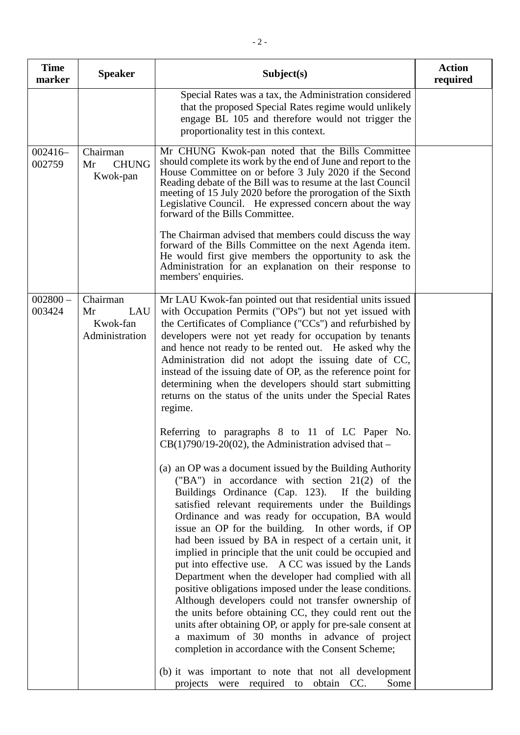| <b>Time</b><br>marker | <b>Speaker</b>                                      | Subject(s)                                                                                                                                                                                                                                                                                                                                                                                                                                                                                                                                                                                                                                                                                                                                                                                                                                                                                                                                                                                                                                                                                                                                                                                                                                                                                                                                                                                                                                                                                                                                                                                                                                                           | <b>Action</b><br>required |
|-----------------------|-----------------------------------------------------|----------------------------------------------------------------------------------------------------------------------------------------------------------------------------------------------------------------------------------------------------------------------------------------------------------------------------------------------------------------------------------------------------------------------------------------------------------------------------------------------------------------------------------------------------------------------------------------------------------------------------------------------------------------------------------------------------------------------------------------------------------------------------------------------------------------------------------------------------------------------------------------------------------------------------------------------------------------------------------------------------------------------------------------------------------------------------------------------------------------------------------------------------------------------------------------------------------------------------------------------------------------------------------------------------------------------------------------------------------------------------------------------------------------------------------------------------------------------------------------------------------------------------------------------------------------------------------------------------------------------------------------------------------------------|---------------------------|
|                       |                                                     | Special Rates was a tax, the Administration considered<br>that the proposed Special Rates regime would unlikely<br>engage BL 105 and therefore would not trigger the<br>proportionality test in this context.                                                                                                                                                                                                                                                                                                                                                                                                                                                                                                                                                                                                                                                                                                                                                                                                                                                                                                                                                                                                                                                                                                                                                                                                                                                                                                                                                                                                                                                        |                           |
| $002416-$<br>002759   | Chairman<br><b>CHUNG</b><br>Mr<br>Kwok-pan          | Mr CHUNG Kwok-pan noted that the Bills Committee<br>should complete its work by the end of June and report to the<br>House Committee on or before 3 July 2020 if the Second<br>Reading debate of the Bill was to resume at the last Council<br>meeting of 15 July 2020 before the prorogation of the Sixth<br>Legislative Council. He expressed concern about the way<br>forward of the Bills Committee.<br>The Chairman advised that members could discuss the way<br>forward of the Bills Committee on the next Agenda item.<br>He would first give members the opportunity to ask the<br>Administration for an explanation on their response to<br>members' enquiries.                                                                                                                                                                                                                                                                                                                                                                                                                                                                                                                                                                                                                                                                                                                                                                                                                                                                                                                                                                                            |                           |
| $002800 -$<br>003424  | Chairman<br>LAU<br>Mr<br>Kwok-fan<br>Administration | Mr LAU Kwok-fan pointed out that residential units issued<br>with Occupation Permits ("OPs") but not yet issued with<br>the Certificates of Compliance ("CCs") and refurbished by<br>developers were not yet ready for occupation by tenants<br>and hence not ready to be rented out. He asked why the<br>Administration did not adopt the issuing date of CC,<br>instead of the issuing date of OP, as the reference point for<br>determining when the developers should start submitting<br>returns on the status of the units under the Special Rates<br>regime.<br>Referring to paragraphs 8 to 11 of LC Paper No.<br>$CB(1)790/19-20(02)$ , the Administration advised that -<br>(a) an OP was a document issued by the Building Authority<br>("BA") in accordance with section 21(2) of the<br>Buildings Ordinance (Cap. 123). If the building<br>satisfied relevant requirements under the Buildings<br>Ordinance and was ready for occupation, BA would<br>issue an OP for the building. In other words, if OP<br>had been issued by BA in respect of a certain unit, it<br>implied in principle that the unit could be occupied and<br>put into effective use. A CC was issued by the Lands<br>Department when the developer had complied with all<br>positive obligations imposed under the lease conditions.<br>Although developers could not transfer ownership of<br>the units before obtaining CC, they could rent out the<br>units after obtaining OP, or apply for pre-sale consent at<br>a maximum of 30 months in advance of project<br>completion in accordance with the Consent Scheme;<br>(b) it was important to note that not all development |                           |
|                       |                                                     | were required to obtain CC.<br>projects<br>Some                                                                                                                                                                                                                                                                                                                                                                                                                                                                                                                                                                                                                                                                                                                                                                                                                                                                                                                                                                                                                                                                                                                                                                                                                                                                                                                                                                                                                                                                                                                                                                                                                      |                           |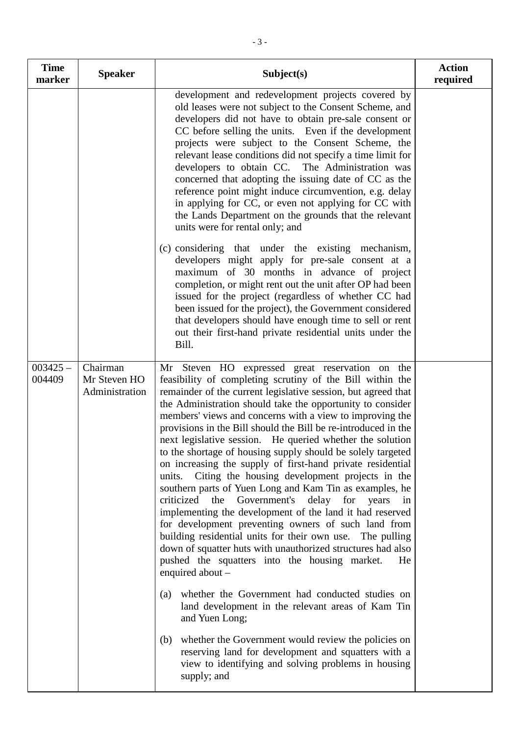| <b>Time</b><br>marker | <b>Speaker</b>                             | Subject(s)                                                                                                                                                                                                                                                                                                                                                                                                                                                                                                                                                                                                                                                                                                                                                                                                                                                                                                                                                                                                                                                                                                                                                                                                                                                                                                                                                                                                 | <b>Action</b><br>required |
|-----------------------|--------------------------------------------|------------------------------------------------------------------------------------------------------------------------------------------------------------------------------------------------------------------------------------------------------------------------------------------------------------------------------------------------------------------------------------------------------------------------------------------------------------------------------------------------------------------------------------------------------------------------------------------------------------------------------------------------------------------------------------------------------------------------------------------------------------------------------------------------------------------------------------------------------------------------------------------------------------------------------------------------------------------------------------------------------------------------------------------------------------------------------------------------------------------------------------------------------------------------------------------------------------------------------------------------------------------------------------------------------------------------------------------------------------------------------------------------------------|---------------------------|
|                       |                                            | development and redevelopment projects covered by<br>old leases were not subject to the Consent Scheme, and<br>developers did not have to obtain pre-sale consent or<br>CC before selling the units. Even if the development<br>projects were subject to the Consent Scheme, the<br>relevant lease conditions did not specify a time limit for<br>developers to obtain CC. The Administration was<br>concerned that adopting the issuing date of CC as the<br>reference point might induce circumvention, e.g. delay<br>in applying for CC, or even not applying for CC with<br>the Lands Department on the grounds that the relevant<br>units were for rental only; and                                                                                                                                                                                                                                                                                                                                                                                                                                                                                                                                                                                                                                                                                                                                   |                           |
|                       |                                            | (c) considering that under the existing mechanism,<br>developers might apply for pre-sale consent at a<br>maximum of 30 months in advance of project<br>completion, or might rent out the unit after OP had been<br>issued for the project (regardless of whether CC had<br>been issued for the project), the Government considered<br>that developers should have enough time to sell or rent<br>out their first-hand private residential units under the<br>Bill.                                                                                                                                                                                                                                                                                                                                                                                                                                                                                                                                                                                                                                                                                                                                                                                                                                                                                                                                        |                           |
| $003425 -$<br>004409  | Chairman<br>Mr Steven HO<br>Administration | Mr Steven HO expressed great reservation on the<br>feasibility of completing scrutiny of the Bill within the<br>remainder of the current legislative session, but agreed that<br>the Administration should take the opportunity to consider<br>members' views and concerns with a view to improving the<br>provisions in the Bill should the Bill be re-introduced in the<br>next legislative session. He queried whether the solution<br>to the shortage of housing supply should be solely targeted<br>on increasing the supply of first-hand private residential<br>Citing the housing development projects in the<br>units.<br>southern parts of Yuen Long and Kam Tin as examples, he<br>criticized the<br>Government's delay for years<br>in<br>implementing the development of the land it had reserved<br>for development preventing owners of such land from<br>building residential units for their own use. The pulling<br>down of squatter huts with unauthorized structures had also<br>pushed the squatters into the housing market.<br>He<br>enquired about $-$<br>whether the Government had conducted studies on<br>(a)<br>land development in the relevant areas of Kam Tin<br>and Yuen Long;<br>whether the Government would review the policies on<br>(b)<br>reserving land for development and squatters with a<br>view to identifying and solving problems in housing<br>supply; and |                           |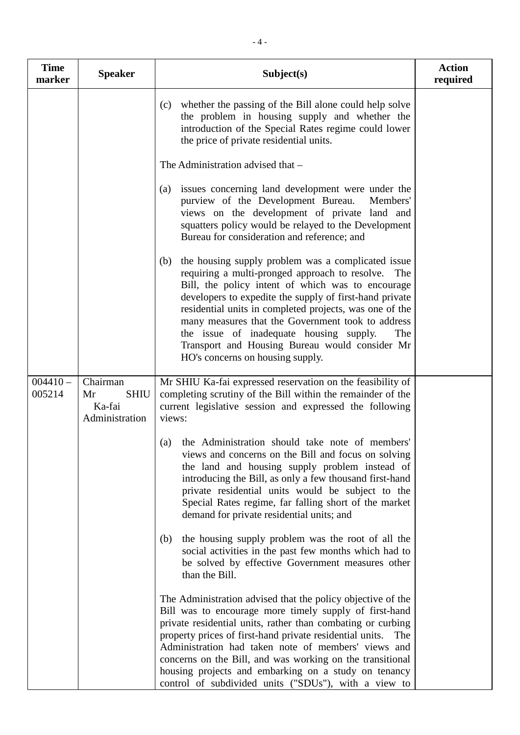| <b>Time</b><br>marker | <b>Speaker</b>                                            | Subject(s)                                                                                                                                                                                                                                                                                                                                                                                                                                                                                  | <b>Action</b><br>required |
|-----------------------|-----------------------------------------------------------|---------------------------------------------------------------------------------------------------------------------------------------------------------------------------------------------------------------------------------------------------------------------------------------------------------------------------------------------------------------------------------------------------------------------------------------------------------------------------------------------|---------------------------|
|                       |                                                           | whether the passing of the Bill alone could help solve<br>(c)<br>the problem in housing supply and whether the<br>introduction of the Special Rates regime could lower<br>the price of private residential units.                                                                                                                                                                                                                                                                           |                           |
|                       |                                                           | The Administration advised that -                                                                                                                                                                                                                                                                                                                                                                                                                                                           |                           |
|                       |                                                           | issues concerning land development were under the<br>(a)<br>purview of the Development Bureau.<br>Members'<br>views on the development of private land and<br>squatters policy would be relayed to the Development<br>Bureau for consideration and reference; and                                                                                                                                                                                                                           |                           |
|                       |                                                           | the housing supply problem was a complicated issue<br>(b)<br>requiring a multi-pronged approach to resolve. The<br>Bill, the policy intent of which was to encourage<br>developers to expedite the supply of first-hand private<br>residential units in completed projects, was one of the<br>many measures that the Government took to address<br>the issue of inadequate housing supply.<br>The<br>Transport and Housing Bureau would consider Mr<br>HO's concerns on housing supply.     |                           |
| $004410 -$<br>005214  | Chairman<br><b>SHIU</b><br>Mr<br>Ka-fai<br>Administration | Mr SHIU Ka-fai expressed reservation on the feasibility of<br>completing scrutiny of the Bill within the remainder of the<br>current legislative session and expressed the following<br>views:                                                                                                                                                                                                                                                                                              |                           |
|                       |                                                           | the Administration should take note of members'<br>(a)<br>views and concerns on the Bill and focus on solving<br>the land and housing supply problem instead of<br>introducing the Bill, as only a few thousand first-hand<br>private residential units would be subject to the<br>Special Rates regime, far falling short of the market<br>demand for private residential units; and                                                                                                       |                           |
|                       |                                                           | the housing supply problem was the root of all the<br>(b)<br>social activities in the past few months which had to<br>be solved by effective Government measures other<br>than the Bill.                                                                                                                                                                                                                                                                                                    |                           |
|                       |                                                           | The Administration advised that the policy objective of the<br>Bill was to encourage more timely supply of first-hand<br>private residential units, rather than combating or curbing<br>property prices of first-hand private residential units.<br>The<br>Administration had taken note of members' views and<br>concerns on the Bill, and was working on the transitional<br>housing projects and embarking on a study on tenancy<br>control of subdivided units ("SDUs"), with a view to |                           |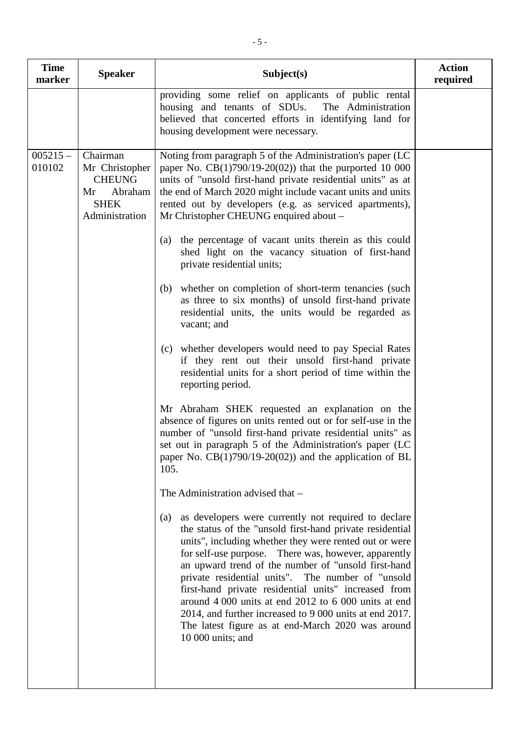| <b>Time</b><br>marker | <b>Speaker</b>                                                                                | Subject(s)                                                                                                                                                                                                                                                                                                                                                                                                                                                                                                                                                                                                                                                                                                                                                                                                                                                                                                                                                                                                                                                                                                                                                                                                                                                                                                                                                                                                                                                                                                                                                                                                                                                                                                                      | <b>Action</b><br>required |
|-----------------------|-----------------------------------------------------------------------------------------------|---------------------------------------------------------------------------------------------------------------------------------------------------------------------------------------------------------------------------------------------------------------------------------------------------------------------------------------------------------------------------------------------------------------------------------------------------------------------------------------------------------------------------------------------------------------------------------------------------------------------------------------------------------------------------------------------------------------------------------------------------------------------------------------------------------------------------------------------------------------------------------------------------------------------------------------------------------------------------------------------------------------------------------------------------------------------------------------------------------------------------------------------------------------------------------------------------------------------------------------------------------------------------------------------------------------------------------------------------------------------------------------------------------------------------------------------------------------------------------------------------------------------------------------------------------------------------------------------------------------------------------------------------------------------------------------------------------------------------------|---------------------------|
|                       |                                                                                               | providing some relief on applicants of public rental<br>housing and tenants of SDUs.<br>The Administration<br>believed that concerted efforts in identifying land for<br>housing development were necessary.                                                                                                                                                                                                                                                                                                                                                                                                                                                                                                                                                                                                                                                                                                                                                                                                                                                                                                                                                                                                                                                                                                                                                                                                                                                                                                                                                                                                                                                                                                                    |                           |
| $005215 -$<br>010102  | Chairman<br>Mr Christopher<br><b>CHEUNG</b><br>Abraham<br>Mr<br><b>SHEK</b><br>Administration | Noting from paragraph 5 of the Administration's paper (LC<br>paper No. $CB(1)790/19-20(02)$ that the purported 10 000<br>units of "unsold first-hand private residential units" as at<br>the end of March 2020 might include vacant units and units<br>rented out by developers (e.g. as serviced apartments),<br>Mr Christopher CHEUNG enquired about -<br>the percentage of vacant units therein as this could<br>(a)<br>shed light on the vacancy situation of first-hand<br>private residential units;<br>(b) whether on completion of short-term tenancies (such<br>as three to six months) of unsold first-hand private<br>residential units, the units would be regarded as<br>vacant; and<br>(c) whether developers would need to pay Special Rates<br>if they rent out their unsold first-hand private<br>residential units for a short period of time within the<br>reporting period.<br>Mr Abraham SHEK requested an explanation on the<br>absence of figures on units rented out or for self-use in the<br>number of "unsold first-hand private residential units" as<br>set out in paragraph 5 of the Administration's paper (LC<br>paper No. $CB(1)790/19-20(02)$ and the application of BL<br>105.<br>The Administration advised that -<br>as developers were currently not required to declare<br>(a)<br>the status of the "unsold first-hand private residential<br>units", including whether they were rented out or were<br>for self-use purpose. There was, however, apparently<br>an upward trend of the number of "unsold first-hand<br>private residential units". The number of "unsold<br>first-hand private residential units" increased from<br>around 4 000 units at end 2012 to 6 000 units at end |                           |
|                       |                                                                                               | 2014, and further increased to 9 000 units at end 2017.<br>The latest figure as at end-March 2020 was around<br>10 000 units; and                                                                                                                                                                                                                                                                                                                                                                                                                                                                                                                                                                                                                                                                                                                                                                                                                                                                                                                                                                                                                                                                                                                                                                                                                                                                                                                                                                                                                                                                                                                                                                                               |                           |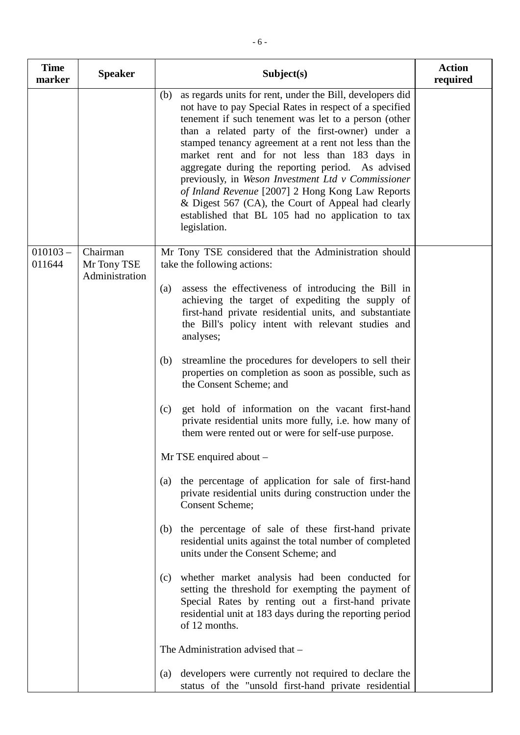| <b>Time</b><br>marker | <b>Speaker</b>                            | Subject(s)                                                                                                                                                                                                                                                                                                                                                                                                                                                                                                                                                                                                                                  | <b>Action</b><br>required |
|-----------------------|-------------------------------------------|---------------------------------------------------------------------------------------------------------------------------------------------------------------------------------------------------------------------------------------------------------------------------------------------------------------------------------------------------------------------------------------------------------------------------------------------------------------------------------------------------------------------------------------------------------------------------------------------------------------------------------------------|---------------------------|
|                       |                                           | as regards units for rent, under the Bill, developers did<br>(b)<br>not have to pay Special Rates in respect of a specified<br>tenement if such tenement was let to a person (other<br>than a related party of the first-owner) under a<br>stamped tenancy agreement at a rent not less than the<br>market rent and for not less than 183 days in<br>aggregate during the reporting period. As advised<br>previously, in Weson Investment Ltd v Commissioner<br>of Inland Revenue [2007] 2 Hong Kong Law Reports<br>& Digest 567 (CA), the Court of Appeal had clearly<br>established that BL 105 had no application to tax<br>legislation. |                           |
| $010103 -$<br>011644  | Chairman<br>Mr Tony TSE<br>Administration | Mr Tony TSE considered that the Administration should<br>take the following actions:                                                                                                                                                                                                                                                                                                                                                                                                                                                                                                                                                        |                           |
|                       |                                           | assess the effectiveness of introducing the Bill in<br>(a)<br>achieving the target of expediting the supply of<br>first-hand private residential units, and substantiate<br>the Bill's policy intent with relevant studies and<br>analyses;                                                                                                                                                                                                                                                                                                                                                                                                 |                           |
|                       |                                           | streamline the procedures for developers to sell their<br>(b)<br>properties on completion as soon as possible, such as<br>the Consent Scheme; and                                                                                                                                                                                                                                                                                                                                                                                                                                                                                           |                           |
|                       |                                           | get hold of information on the vacant first-hand<br>(c)<br>private residential units more fully, i.e. how many of<br>them were rented out or were for self-use purpose.                                                                                                                                                                                                                                                                                                                                                                                                                                                                     |                           |
|                       |                                           | Mr TSE enquired about -                                                                                                                                                                                                                                                                                                                                                                                                                                                                                                                                                                                                                     |                           |
|                       |                                           | the percentage of application for sale of first-hand<br>(a)<br>private residential units during construction under the<br><b>Consent Scheme;</b>                                                                                                                                                                                                                                                                                                                                                                                                                                                                                            |                           |
|                       |                                           | the percentage of sale of these first-hand private<br>(b)<br>residential units against the total number of completed<br>units under the Consent Scheme; and                                                                                                                                                                                                                                                                                                                                                                                                                                                                                 |                           |
|                       |                                           | whether market analysis had been conducted for<br>(c)<br>setting the threshold for exempting the payment of<br>Special Rates by renting out a first-hand private<br>residential unit at 183 days during the reporting period<br>of 12 months.                                                                                                                                                                                                                                                                                                                                                                                               |                           |

The Administration advised that –

(a) developers were currently not required to declare the status of the "unsold first-hand private residential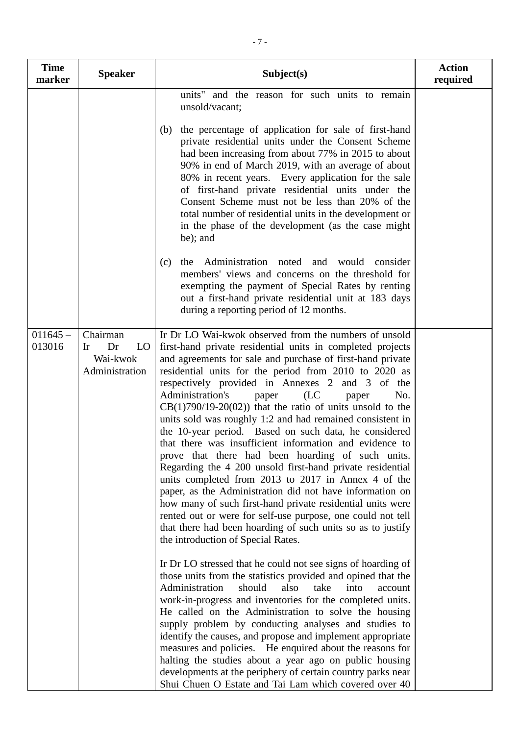| <b>Time</b><br>marker | <b>Speaker</b>                                           | Subject(s)                                                                                                                                                                                                                                                                                                                                                                                                                                                                                                                                                                                                                                                                                                                                                                                                                                                                                                                                                                                                                                                                                                                                                                                                                                                                                                                                                                                                                                                                                                                                                                                                                                                                                                                                                       | <b>Action</b><br>required |
|-----------------------|----------------------------------------------------------|------------------------------------------------------------------------------------------------------------------------------------------------------------------------------------------------------------------------------------------------------------------------------------------------------------------------------------------------------------------------------------------------------------------------------------------------------------------------------------------------------------------------------------------------------------------------------------------------------------------------------------------------------------------------------------------------------------------------------------------------------------------------------------------------------------------------------------------------------------------------------------------------------------------------------------------------------------------------------------------------------------------------------------------------------------------------------------------------------------------------------------------------------------------------------------------------------------------------------------------------------------------------------------------------------------------------------------------------------------------------------------------------------------------------------------------------------------------------------------------------------------------------------------------------------------------------------------------------------------------------------------------------------------------------------------------------------------------------------------------------------------------|---------------------------|
|                       |                                                          | units" and the reason for such units to remain<br>unsold/vacant;<br>the percentage of application for sale of first-hand<br>(b)<br>private residential units under the Consent Scheme<br>had been increasing from about 77% in 2015 to about<br>90% in end of March 2019, with an average of about<br>80% in recent years. Every application for the sale<br>of first-hand private residential units under the<br>Consent Scheme must not be less than 20% of the<br>total number of residential units in the development or<br>in the phase of the development (as the case might)<br>be); and<br>Administration noted and would consider<br>(c)<br>the<br>members' views and concerns on the threshold for<br>exempting the payment of Special Rates by renting<br>out a first-hand private residential unit at 183 days<br>during a reporting period of 12 months.                                                                                                                                                                                                                                                                                                                                                                                                                                                                                                                                                                                                                                                                                                                                                                                                                                                                                            |                           |
| $011645 -$<br>013016  | Chairman<br>LO<br>Dr<br>Ir<br>Wai-kwok<br>Administration | Ir Dr LO Wai-kwok observed from the numbers of unsold<br>first-hand private residential units in completed projects<br>and agreements for sale and purchase of first-hand private<br>residential units for the period from 2010 to 2020 as<br>respectively provided in Annexes 2 and 3 of the<br>Administration's<br>(LC)<br>No.<br>paper<br>paper<br>$CB(1)790/19-20(02)$ that the ratio of units unsold to the<br>units sold was roughly 1:2 and had remained consistent in<br>the 10-year period. Based on such data, he considered<br>that there was insufficient information and evidence to<br>prove that there had been hoarding of such units.<br>Regarding the 4 200 unsold first-hand private residential<br>units completed from 2013 to 2017 in Annex 4 of the<br>paper, as the Administration did not have information on<br>how many of such first-hand private residential units were<br>rented out or were for self-use purpose, one could not tell<br>that there had been hoarding of such units so as to justify<br>the introduction of Special Rates.<br>In Dr LO stressed that he could not see signs of hoarding of<br>those units from the statistics provided and opined that the<br>Administration<br>should<br>also<br>take<br>into<br>account<br>work-in-progress and inventories for the completed units.<br>He called on the Administration to solve the housing<br>supply problem by conducting analyses and studies to<br>identify the causes, and propose and implement appropriate<br>measures and policies. He enquired about the reasons for<br>halting the studies about a year ago on public housing<br>developments at the periphery of certain country parks near<br>Shui Chuen O Estate and Tai Lam which covered over 40 |                           |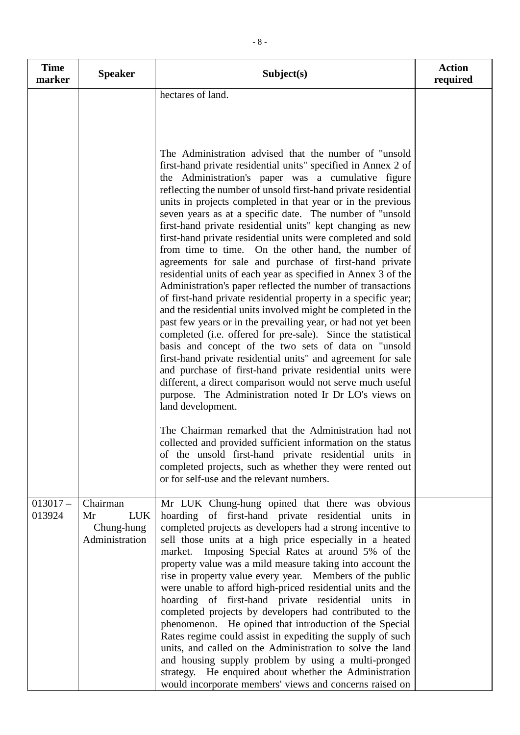| <b>Time</b><br>marker | <b>Speaker</b>                                               | Subject(s)                                                                                                                                                                                                                                                                                                                                                                                                                                                                                                                                                                                                                                                                                                                                                                                                                                                                                                                                                                                                                                                                                                                                                                                                                                                                                                                                                                                                                                                                                                                                                                                                                                                                    | <b>Action</b><br>required |
|-----------------------|--------------------------------------------------------------|-------------------------------------------------------------------------------------------------------------------------------------------------------------------------------------------------------------------------------------------------------------------------------------------------------------------------------------------------------------------------------------------------------------------------------------------------------------------------------------------------------------------------------------------------------------------------------------------------------------------------------------------------------------------------------------------------------------------------------------------------------------------------------------------------------------------------------------------------------------------------------------------------------------------------------------------------------------------------------------------------------------------------------------------------------------------------------------------------------------------------------------------------------------------------------------------------------------------------------------------------------------------------------------------------------------------------------------------------------------------------------------------------------------------------------------------------------------------------------------------------------------------------------------------------------------------------------------------------------------------------------------------------------------------------------|---------------------------|
|                       |                                                              | hectares of land.<br>The Administration advised that the number of "unsold"<br>first-hand private residential units" specified in Annex 2 of<br>the Administration's paper was a cumulative figure<br>reflecting the number of unsold first-hand private residential<br>units in projects completed in that year or in the previous<br>seven years as at a specific date. The number of "unsold<br>first-hand private residential units" kept changing as new<br>first-hand private residential units were completed and sold<br>from time to time. On the other hand, the number of<br>agreements for sale and purchase of first-hand private<br>residential units of each year as specified in Annex 3 of the<br>Administration's paper reflected the number of transactions<br>of first-hand private residential property in a specific year;<br>and the residential units involved might be completed in the<br>past few years or in the prevailing year, or had not yet been<br>completed (i.e. offered for pre-sale). Since the statistical<br>basis and concept of the two sets of data on "unsold"<br>first-hand private residential units" and agreement for sale<br>and purchase of first-hand private residential units were<br>different, a direct comparison would not serve much useful<br>purpose. The Administration noted Ir Dr LO's views on<br>land development.<br>The Chairman remarked that the Administration had not<br>collected and provided sufficient information on the status<br>of the unsold first-hand private residential units in<br>completed projects, such as whether they were rented out<br>or for self-use and the relevant numbers. |                           |
| $013017-$<br>013924   | Chairman<br><b>LUK</b><br>Mr<br>Chung-hung<br>Administration | Mr LUK Chung-hung opined that there was obvious<br>hoarding of first-hand private residential units in<br>completed projects as developers had a strong incentive to<br>sell those units at a high price especially in a heated<br>market. Imposing Special Rates at around 5% of the<br>property value was a mild measure taking into account the<br>rise in property value every year. Members of the public<br>were unable to afford high-priced residential units and the<br>hoarding of first-hand private residential units in<br>completed projects by developers had contributed to the<br>phenomenon. He opined that introduction of the Special<br>Rates regime could assist in expediting the supply of such<br>units, and called on the Administration to solve the land<br>and housing supply problem by using a multi-pronged<br>strategy. He enquired about whether the Administration<br>would incorporate members' views and concerns raised on                                                                                                                                                                                                                                                                                                                                                                                                                                                                                                                                                                                                                                                                                                              |                           |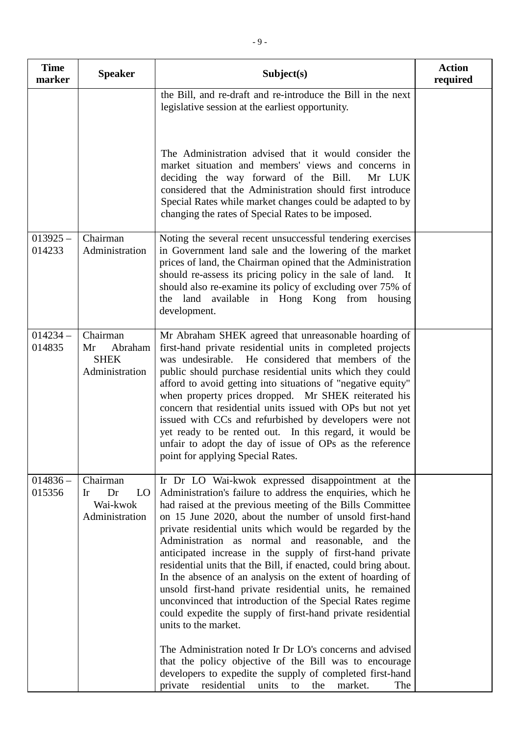| <b>Time</b><br>marker | <b>Speaker</b>                                             | Subject(s)                                                                                                                                                                                                                                                                                                                                                                                                                                                                                                                                                                                                                                                                                                                                                                                                                                                                                 | <b>Action</b><br>required |
|-----------------------|------------------------------------------------------------|--------------------------------------------------------------------------------------------------------------------------------------------------------------------------------------------------------------------------------------------------------------------------------------------------------------------------------------------------------------------------------------------------------------------------------------------------------------------------------------------------------------------------------------------------------------------------------------------------------------------------------------------------------------------------------------------------------------------------------------------------------------------------------------------------------------------------------------------------------------------------------------------|---------------------------|
|                       |                                                            | the Bill, and re-draft and re-introduce the Bill in the next<br>legislative session at the earliest opportunity.                                                                                                                                                                                                                                                                                                                                                                                                                                                                                                                                                                                                                                                                                                                                                                           |                           |
|                       |                                                            | The Administration advised that it would consider the<br>market situation and members' views and concerns in<br>deciding the way forward of the Bill.<br>Mr LUK<br>considered that the Administration should first introduce<br>Special Rates while market changes could be adapted to by<br>changing the rates of Special Rates to be imposed.                                                                                                                                                                                                                                                                                                                                                                                                                                                                                                                                            |                           |
| $013925 -$<br>014233  | Chairman<br>Administration                                 | Noting the several recent unsuccessful tendering exercises<br>in Government land sale and the lowering of the market<br>prices of land, the Chairman opined that the Administration<br>should re-assess its pricing policy in the sale of land. It<br>should also re-examine its policy of excluding over 75% of<br>the land available in Hong Kong from housing<br>development.                                                                                                                                                                                                                                                                                                                                                                                                                                                                                                           |                           |
| $014234 -$<br>014835  | Chairman<br>Abraham<br>Mr<br><b>SHEK</b><br>Administration | Mr Abraham SHEK agreed that unreasonable hoarding of<br>first-hand private residential units in completed projects<br>was undesirable. He considered that members of the<br>public should purchase residential units which they could<br>afford to avoid getting into situations of "negative equity"<br>when property prices dropped. Mr SHEK reiterated his<br>concern that residential units issued with OPs but not yet<br>issued with CCs and refurbished by developers were not<br>yet ready to be rented out. In this regard, it would be<br>unfair to adopt the day of issue of OPs as the reference<br>point for applying Special Rates.                                                                                                                                                                                                                                          |                           |
| $014836 -$<br>015356  | Chairman<br>LO<br>Dr<br>Ir<br>Wai-kwok<br>Administration   | Ir Dr LO Wai-kwok expressed disappointment at the<br>Administration's failure to address the enquiries, which he<br>had raised at the previous meeting of the Bills Committee<br>on 15 June 2020, about the number of unsold first-hand<br>private residential units which would be regarded by the<br>Administration as normal and reasonable, and the<br>anticipated increase in the supply of first-hand private<br>residential units that the Bill, if enacted, could bring about.<br>In the absence of an analysis on the extent of hoarding of<br>unsold first-hand private residential units, he remained<br>unconvinced that introduction of the Special Rates regime<br>could expedite the supply of first-hand private residential<br>units to the market.<br>The Administration noted Ir Dr LO's concerns and advised<br>that the policy objective of the Bill was to encourage |                           |
|                       |                                                            | developers to expedite the supply of completed first-hand<br>residential<br>private<br>units<br>the<br>market.<br>The<br>to                                                                                                                                                                                                                                                                                                                                                                                                                                                                                                                                                                                                                                                                                                                                                                |                           |